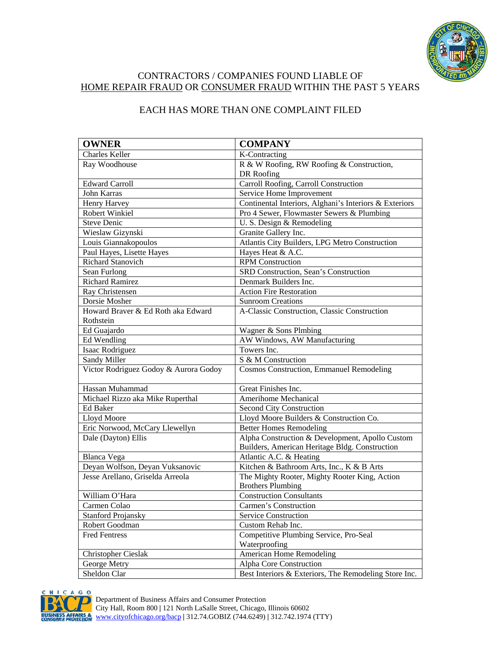

## CONTRACTORS / COMPANIES FOUND LIABLE OF HOME REPAIR FRAUD OR CONSUMER FRAUD WITHIN THE PAST 5 YEARS

## EACH HAS MORE THAN ONE COMPLAINT FILED

| <b>OWNER</b>                          | <b>COMPANY</b>                                         |
|---------------------------------------|--------------------------------------------------------|
| <b>Charles Keller</b>                 | K-Contracting                                          |
| Ray Woodhouse                         | R & W Roofing, RW Roofing & Construction,              |
|                                       | DR Roofing                                             |
| <b>Edward Carroll</b>                 | Carroll Roofing, Carroll Construction                  |
| John Karras                           | Service Home Improvement                               |
| Henry Harvey                          | Continental Interiors, Alghani's Interiors & Exteriors |
| <b>Robert Winkiel</b>                 | Pro 4 Sewer, Flowmaster Sewers & Plumbing              |
| <b>Steve Denic</b>                    | U. S. Design & Remodeling                              |
| Wieslaw Gizynski                      | Granite Gallery Inc.                                   |
| Louis Giannakopoulos                  | Atlantis City Builders, LPG Metro Construction         |
| Paul Hayes, Lisette Hayes             | Hayes Heat & A.C.                                      |
| Richard Stanovich                     | <b>RPM</b> Construction                                |
| Sean Furlong                          | SRD Construction, Sean's Construction                  |
| <b>Richard Ramirez</b>                | Denmark Builders Inc.                                  |
| Ray Christensen                       | <b>Action Fire Restoration</b>                         |
| Dorsie Mosher                         | <b>Sunroom Creations</b>                               |
| Howard Braver & Ed Roth aka Edward    | A-Classic Construction, Classic Construction           |
| Rothstein                             |                                                        |
| Ed Guajardo                           | Wagner & Sons Plmbing                                  |
| Ed Wendling                           | AW Windows, AW Manufacturing                           |
| Isaac Rodriguez                       | Towers Inc.                                            |
| Sandy Miller                          | S & M Construction                                     |
| Victor Rodriguez Godoy & Aurora Godoy | <b>Cosmos Construction, Emmanuel Remodeling</b>        |
| Hassan Muhammad                       | Great Finishes Inc.                                    |
| Michael Rizzo aka Mike Ruperthal      | Amerihome Mechanical                                   |
| Ed Baker                              | Second City Construction                               |
| Lloyd Moore                           | Lloyd Moore Builders & Construction Co.                |
| Eric Norwood, McCary Llewellyn        | <b>Better Homes Remodeling</b>                         |
| Dale (Dayton) Ellis                   | Alpha Construction & Development, Apollo Custom        |
|                                       | Builders, American Heritage Bldg. Construction         |
| <b>Blanca Vega</b>                    | Atlantic A.C. & Heating                                |
| Deyan Wolfson, Deyan Vuksanovic       | Kitchen & Bathroom Arts, Inc., K & B Arts              |
| Jesse Arellano, Griselda Arreola      | The Mighty Rooter, Mighty Rooter King, Action          |
|                                       | <b>Brothers Plumbing</b>                               |
| William O'Hara                        | <b>Construction Consultants</b>                        |
| Carmen Colao                          | Carmen's Construction                                  |
| <b>Stanford Projansky</b>             | Service Construction                                   |
| Robert Goodman                        | Custom Rehab Inc.                                      |
| <b>Fred Fentress</b>                  | Competitive Plumbing Service, Pro-Seal                 |
|                                       | Waterproofing                                          |
| <b>Christopher Cieslak</b>            | <b>American Home Remodeling</b>                        |
| George Metry                          | Alpha Core Construction                                |
| Sheldon Clar                          | Best Interiors & Exteriors, The Remodeling Store Inc.  |